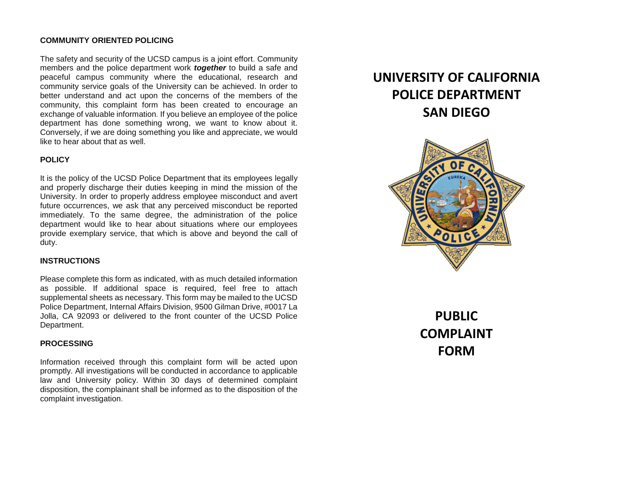#### **COMMUNITY ORIENTED POLICING**

The safety and security of the UCSD campus is a joint effort. Community members and the police department work *together* to build a safe and peaceful campus community where the educational, research and community service goals of the University can be achieved. In order to better understand and act upon the concerns of the members of the community, this complaint form has been created to encourage an exchange of valuable information. If you believe an employee of the police department has done something wrong, we want to know about it. Conversely, if we are doing something you like and appreciate, we would like to hear about that as well.

### **POLICY**

It is the policy of the UCSD Police Department that its employees legally and properly discharge their duties keeping in mind the mission of the University. In order to properly address employee misconduct and avert future occurrences, we ask that any perceived misconduct be reported immediately. To the same degree, the administration of the police department would like to hear about situations where our employees provide exemplary service, that which is above and beyond the call of duty.

#### **INSTRUCTIONS**

Please complete this form as indicated, with as much detailed information as possible. If additional space is required, feel free to attach supplemental sheets as necessary. This form may be mailed to the UCSD Police Department, Internal Affairs Division, 9500 Gilman Drive, #0017 La Jolla, CA 92093 or delivered to the front counter of the UCSD Police Department.

#### **PROCESSING**

Information received through this complaint form will be acted upon promptly. All investigations will be conducted in accordance to applicable law and University policy. Within 30 days of determined complaint disposition, the complainant shall be informed as to the disposition of the complaint investigation.

# **UNIVERSITY OF CALIFORNIA POLICE DEPARTMENT SAN DIEGO**



**PUBLIC COMPLAINT FORM**